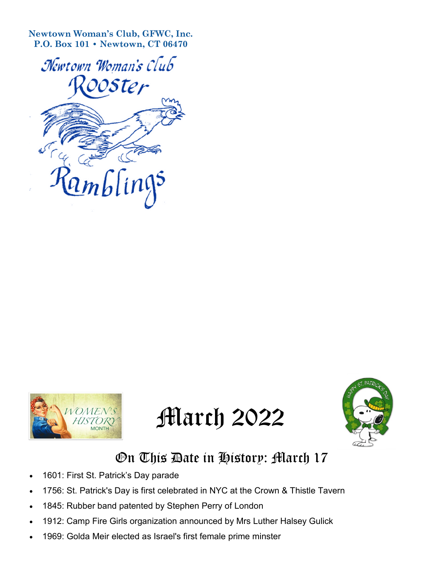**Newtown Woman's Club, GFWC, Inc. P.O. Box 101 • Newtown, CT 06470**









## On This Date in History: March 17

- 1601: First St. Patrick's Day parade
- 1756: St. Patrick's Day is first celebrated in NYC at the Crown & Thistle Tavern
- 1845: Rubber band patented by Stephen Perry of London
- 1912: Camp Fire Girls organization announced by Mrs Luther Halsey Gulick
- 1969: Golda Meir elected as Israel's first female prime minster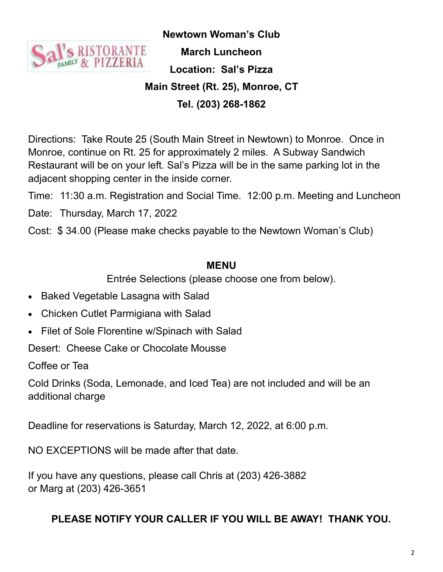

**Newtown Woman's Club March Luncheon Location: Sal's Pizza Main Street (Rt. 25), Monroe, CT Tel. (203) 268-1862**

Directions: Take Route 25 (South Main Street in Newtown) to Monroe. Once in Monroe, continue on Rt. 25 for approximately 2 miles. A Subway Sandwich Restaurant will be on your left. Sal's Pizza will be in the same parking lot in the adjacent shopping center in the inside corner.

Time: 11:30 a.m. Registration and Social Time. 12:00 p.m. Meeting and Luncheon

Date: Thursday, March 17, 2022

Cost: \$ 34.00 (Please make checks payable to the Newtown Woman's Club)

## **MENU**

Entrée Selections (please choose one from below).

- Baked Vegetable Lasagna with Salad
- Chicken Cutlet Parmigiana with Salad
- Filet of Sole Florentine w/Spinach with Salad

Desert: Cheese Cake or Chocolate Mousse

Coffee or Tea

Cold Drinks (Soda, Lemonade, and Iced Tea) are not included and will be an additional charge

Deadline for reservations is Saturday, March 12, 2022, at 6:00 p.m.

NO EXCEPTIONS will be made after that date.

If you have any questions, please call Chris at (203) 426-3882 or Marg at (203) 426-3651

## **PLEASE NOTIFY YOUR CALLER IF YOU WILL BE AWAY! THANK YOU.**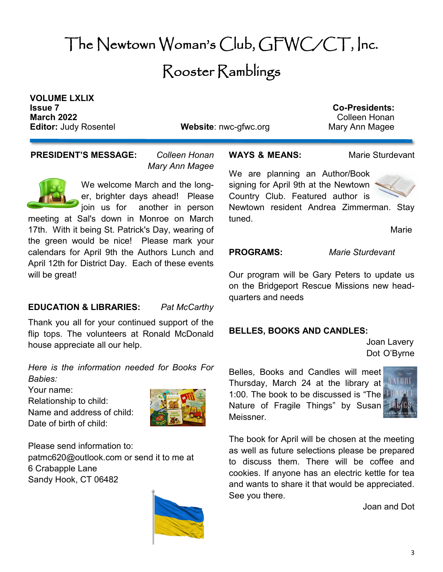# The Newtown Woman's Club, GFWC/CT, Inc. Rooster Ramblings

**VOLUME LXLIX Issue 7 Co-Presidents: March 2022 Colleen Honan** 

**Editor:** Judy Rosentel **Website**: nwc-gfwc.org Mary Ann Magee

**PRESIDENT'S MESSAGE:** *Colleen Honan*

*Mary Ann Magee*

We welcome March and the longer, brighter days ahead! Please join us for another in person meeting at Sal's down in Monroe on March 17th. With it being St. Patrick's Day, wearing of the green would be nice! Please mark your calendars for April 9th the Authors Lunch and April 12th for District Day. Each of these events will be great!

## **EDUCATION & LIBRARIES:** *Pat McCarthy*

Thank you all for your continued support of the flip tops. The volunteers at Ronald McDonald house appreciate all our help.

*Here is the information needed for Books For Babies:*

Your name:

Relationship to child:

Name and address of child: Date of birth of child:



Please send information to: patmc620@outlook.com or send it to me at 6 Crabapple Lane Sandy Hook, CT 06482



## **WAYS & MEANS:** Marie Sturdevant

We are planning an Author/Book signing for April 9th at the Newtown Country Club. Featured author is



Newtown resident Andrea Zimmerman. Stay tuned.

Marie

**PROGRAMS:** *Marie Sturdevant* 

Our program will be Gary Peters to update us on the Bridgeport Rescue Missions new headquarters and needs

## **BELLES, BOOKS AND CANDLES:**

Joan Lavery Dot O'Byrne

Belles, Books and Candles will meet Thursday, March 24 at the library at 1:00. The book to be discussed is "The Nature of Fragile Things" by Susan Meissner.



The book for April will be chosen at the meeting as well as future selections please be prepared to discuss them. There will be coffee and cookies. If anyone has an electric kettle for tea and wants to share it that would be appreciated. See you there.

Joan and Dot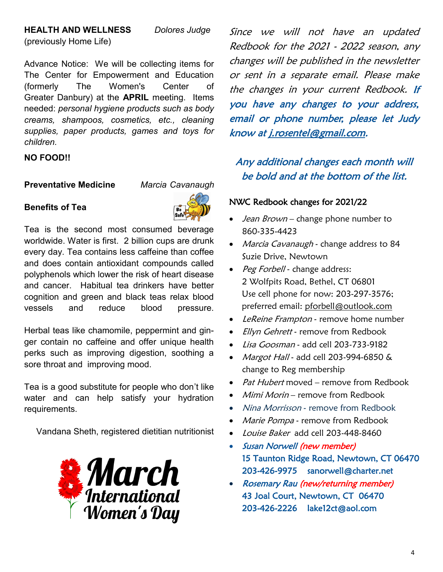## **HEALTH AND WELLNESS** *Dolores Judge*

(previously Home Life)

Advance Notice: We will be collecting items for The Center for Empowerment and Education

(formerly The Women's Center of Greater Danbury) at the **APRIL** meeting. Items needed: *personal hygiene products such as body creams, shampoos, cosmetics, etc., cleaning supplies, paper products, games and toys for children.* 

## **NO FOOD!!**

**Preventative Medicine** *Marcia Cavanaugh*

## **Benefits of Tea**



Tea is the second most consumed beverage worldwide. Water is first. 2 billion cups are drunk every day. Tea contains less caffeine than coffee and does contain antioxidant compounds called polyphenols which lower the risk of heart disease and cancer. Habitual tea drinkers have better cognition and green and black teas relax blood vessels and reduce blood pressure.

Herbal teas like chamomile, peppermint and ginger contain no caffeine and offer unique health perks such as improving digestion, soothing a sore throat and improving mood.

Tea is a good substitute for people who don't like water and can help satisfy your hydration requirements.

Vandana Sheth, registered dietitian nutritionist



Since we will not have an updated Redbook for the 2021 - 2022 season, any changes will be published in the newsletter or sent in a separate email. Please make the changes in your current Redbook. If you have any changes to your address, email or phone number, please let Judy know at j.rosentel@gmail.com.

## Any additional changes each month will be bold and at the bottom of the list.

## NWC Redbook changes for 2021/22

- Jean  $Brown$  change phone number to 860-335-4423
- Marcia Cavanaugh change address to 84 Suzie Drive, Newtown
- Peg Forbell change address: 2 Wolfpits Road, Bethel, CT 06801 Use cell phone for now: 203-297-3576; preferred email: pforbell@outlook.com
- LeReine Frampton remove home number
- *Ellyn Gehrett* remove from Redbook
- Lisa Goosman add cell 203-733-9182
- Margot Hall add cell 203-994-6850 & change to Reg membership
- Pat Hubert moved remove from Redbook
- *Mimi Morin* remove from Redbook
- Nina Morrisson remove from Redbook
- Marie Pompa remove from Redbook
- Louise Baker add cell 203-448-8460
- Susan Norwell (new member) 15 Taunton Ridge Road, Newtown, CT 06470 203-426-9975 sanorwell@charter.net
- Rosemary Rau (new/returning member) 43 Joal Court, Newtown, CT 06470 203-426-2226 lake12ct@aol.com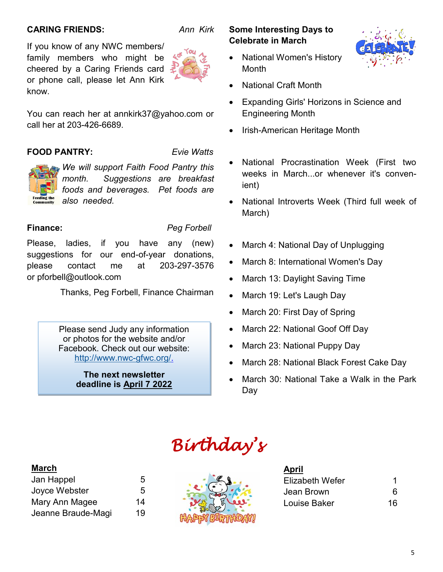## **CARING FRIENDS:** *Ann Kirk*

If you know of any NWC members/ family members who might be cheered by a Caring Friends card or phone call, please let Ann Kirk know.

You can reach her at annkirk37@yahoo.com or call her at 203-426-6689.

## **FOOD PANTRY:** *Evie Watts*

*We will support Faith Food Pantry this month. Suggestions are breakfast foods and beverages. Pet foods are also needed.* 

**Finance:** *Peg Forbell*

Please, ladies, if you have any (new) suggestions for our end-of-year donations, please contact me at 203-297-3576 or pforbell@outlook.com

Thanks, Peg Forbell, Finance Chairman

Please send Judy any information or photos for the website and/or Facebook. Check out our website: [http://www.nwc](http://www.nwc-gfwc.org/)-gfwc.org/.

> **The next newsletter deadline is April 7 2022**

## **Some Interesting Days to Celebrate in March**

- National Women's History **Month**
- National Craft Month
- Expanding Girls' Horizons in Science and Engineering Month
- Irish-American Heritage Month
- National Procrastination Week (First two weeks in March...or whenever it's convenient)
- National Introverts Week (Third full week of March)
- March 4: National Day of Unplugging
- March 8: International Women's Day
- March 13: Daylight Saving Time
- March 19: Let's Laugh Day
- March 20: First Day of Spring
- March 22: National Goof Off Day
- March 23: National Puppy Day
- March 28: National Black Forest Cake Day
- March 30: National Take a Walk in the Park Day

# *Birthday's*

## **March**

| Jan Happel         | 5  |
|--------------------|----|
| Joyce Webster      | 5  |
| Mary Ann Magee     | 14 |
| Jeanne Braude-Magi | 19 |



| 6  |
|----|
| 16 |
|    |

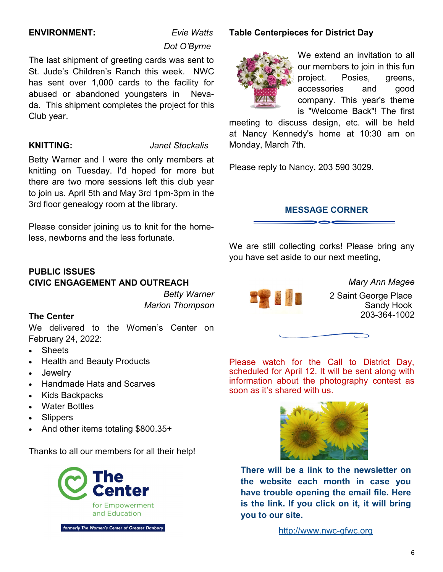## **ENVIRONMENT:** *Evie Watts*

# *Dot O'Byrne*

The last shipment of greeting cards was sent to St. Jude's Children's Ranch this week. NWC has sent over 1,000 cards to the facility for abused or abandoned youngsters in Nevada. This shipment completes the project for this Club year.

### **KNITTING:** *Janet Stockalis*

Betty Warner and I were the only members at knitting on Tuesday. I'd hoped for more but there are two more sessions left this club year to join us. April 5th and May 3rd 1pm-3pm in the 3rd floor genealogy room at the library.

Please consider joining us to knit for the homeless, newborns and the less fortunate.

## **PUBLIC ISSUES CIVIC ENGAGEMENT AND OUTREACH**

*Betty Warner Marion Thompson*

## **The Center**

We delivered to the Women's Center on February 24, 2022:

- Sheets
- Health and Beauty Products
- Jewelry
- Handmade Hats and Scarves
- Kids Backpacks
- Water Bottles
- **Slippers**
- And other items totaling \$800.35+

Thanks to all our members for all their help!



## **Table Centerpieces for District Day**



We extend an invitation to all our members to join in this fun project. Posies, greens, accessories and good company. This year's theme is "Welcome Back"! The first

meeting to discuss design, etc. will be held at Nancy Kennedy's home at 10:30 am on Monday, March 7th.

Please reply to Nancy, 203 590 3029.

## **MESSAGE CORNER**

We are still collecting corks! Please bring any you have set aside to our next meeting,



*Mary Ann Magee* 2 Saint George Place

Sandy Hook 203-364-1002



Please watch for the Call to District Day, scheduled for April 12. It will be sent along with information about the photography contest as soon as it's shared with us.



**There will be a link to the newsletter on the website each month in case you have trouble opening the email file. Here is the link. If you click on it, it will bring you to our site.**

[http://www.nwc](https://www.nwc-gfwc.org)-gfwc.org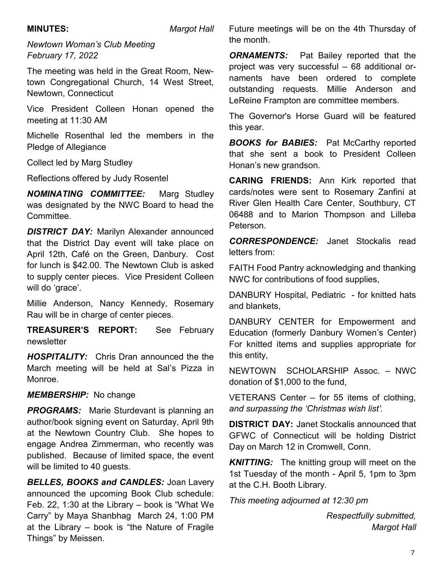**MINUTES:** *Margot Hall*

*Newtown Woman's Club Meeting February 17, 2022*

The meeting was held in the Great Room, Newtown Congregational Church, 14 West Street, Newtown, Connecticut

Vice President Colleen Honan opened the meeting at 11:30 AM

Michelle Rosenthal led the members in the Pledge of Allegiance

Collect led by Marg Studley

Reflections offered by Judy Rosentel

*NOMINATING COMMITTEE:* Marg Studley was designated by the NWC Board to head the Committee.

**DISTRICT DAY: Marilyn Alexander announced** that the District Day event will take place on April 12th, Café on the Green, Danbury. Cost for lunch is \$42.00. The Newtown Club is asked to supply center pieces. Vice President Colleen will do 'grace'.

Millie Anderson, Nancy Kennedy, Rosemary Rau will be in charge of center pieces.

**TREASURER'S REPORT:** See February newsletter

*HOSPITALITY:* Chris Dran announced the the March meeting will be held at Sal's Pizza in Monroe.

*MEMBERSHIP:* No change

**PROGRAMS:** Marie Sturdevant is planning an author/book signing event on Saturday, April 9th at the Newtown Country Club. She hopes to engage Andrea Zimmerman, who recently was published. Because of limited space, the event will be limited to 40 guests.

*BELLES, BOOKS and CANDLES:* Joan Lavery announced the upcoming Book Club schedule: Feb. 22, 1:30 at the Library – book is "What We Carry" by Maya Shanbhag March 24, 1:00 PM at the Library – book is "the Nature of Fragile Things" by Meissen.

Future meetings will be on the 4th Thursday of the month.

**ORNAMENTS:** Pat Bailey reported that the project was very successful – 68 additional ornaments have been ordered to complete outstanding requests. Millie Anderson and LeReine Frampton are committee members.

The Governor's Horse Guard will be featured this year.

**BOOKS for BABIES:** Pat McCarthy reported that she sent a book to President Colleen Honan's new grandson.

**CARING FRIENDS:** Ann Kirk reported that cards/notes were sent to Rosemary Zanfini at River Glen Health Care Center, Southbury, CT 06488 and to Marion Thompson and Lilleba Peterson.

*CORRESPONDENCE:* Janet Stockalis read letters from:

FAITH Food Pantry acknowledging and thanking NWC for contributions of food supplies,

DANBURY Hospital, Pediatric - for knitted hats and blankets,

DANBURY CENTER for Empowerment and Education (formerly Danbury Women's Center) For knitted items and supplies appropriate for this entity,

NEWTOWN SCHOLARSHIP Assoc. – NWC donation of \$1,000 to the fund,

VETERANS Center – for 55 items of clothing, *and surpassing the 'Christmas wish list'.*

**DISTRICT DAY:** Janet Stockalis announced that GFWC of Connecticut will be holding District Day on March 12 in Cromwell, Conn.

*KNITTING:* The knitting group will meet on the 1st Tuesday of the month - April 5, 1pm to 3pm at the C.H. Booth Library.

*This meeting adjourned at 12:30 pm*

*Respectfully submitted, Margot Hall*